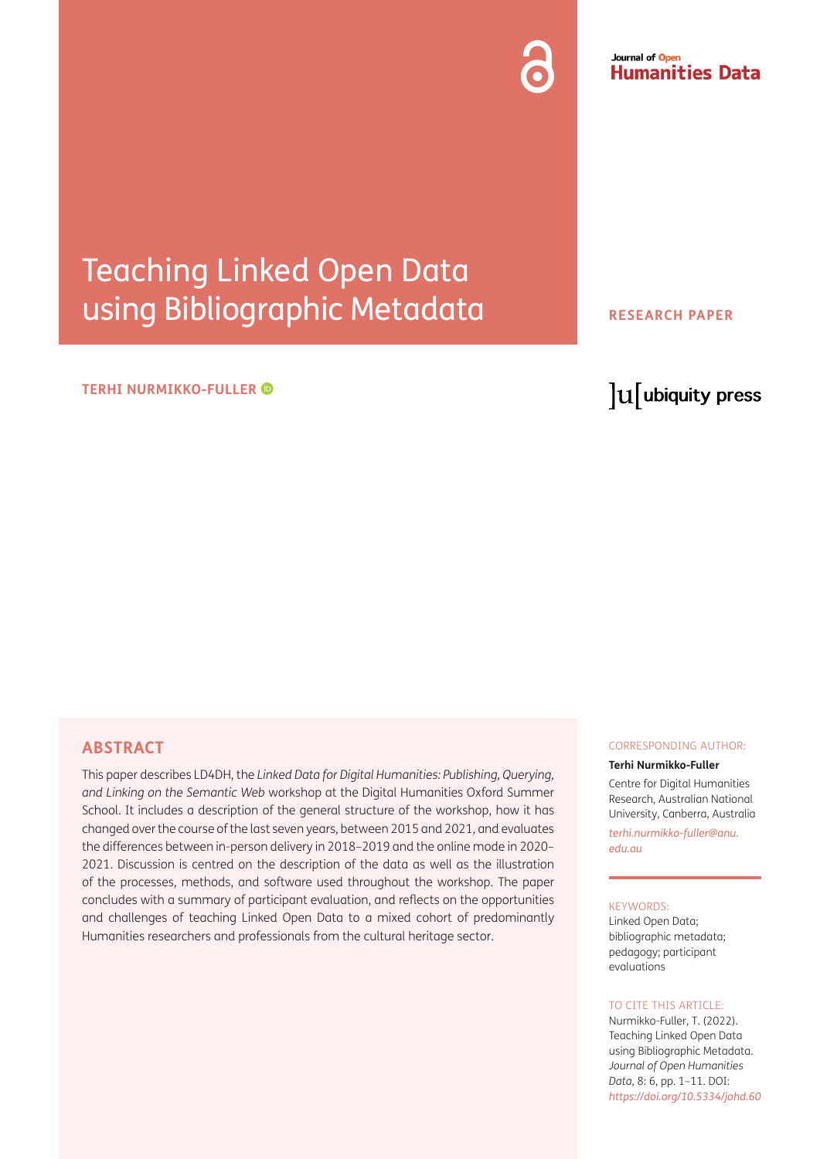#### Journal of Open **Humanities Data**

# Teaching Linked Open Data using Bibliographic Metadata

#### **TERHI NURMIKKO-FULLER**

#### **RESEARCH PAPER**

## lu ubiquity press

### **ABSTRACT**

This paper describes LD4DH, the *Linked Data for Digital Humanities: Publishing, Querying, and Linking on the Semantic Web* workshop at the Digital Humanities Oxford Summer School. It includes a description of the general structure of the workshop, how it has changed over the course of the last seven years, between 2015 and 2021, and evaluates the differences between in-person delivery in 2018–2019 and the online mode in 2020– 2021. Discussion is centred on the description of the data as well as the illustration of the processes, methods, and software used throughout the workshop. The paper concludes with a summary of participant evaluation, and reflects on the opportunities and challenges of teaching Linked Open Data to a mixed cohort of predominantly Humanities researchers and professionals from the cultural heritage sector.

#### CORRESPONDING AUTHOR:

**Terhi Nurmikko-Fuller** Centre for Digital Humanities Research, Australian National University, Canberra, Australia *[terhi.nurmikko-fuller@anu.](mailto:terhi.nurmikko-fuller@anu.edu.au) [edu.au](mailto:terhi.nurmikko-fuller@anu.edu.au)*

#### KEYWORDS:

Linked Open Data; bibliographic metadata; pedagogy; participant evaluations

#### TO CITE THIS ARTICLE:

Nurmikko-Fuller, T. (2022). Teaching Linked Open Data using Bibliographic Metadata. *Journal of Open Humanities Data*, 8: 6, pp. 1–11. DOI: *<https://doi.org/10.5334/johd.60>*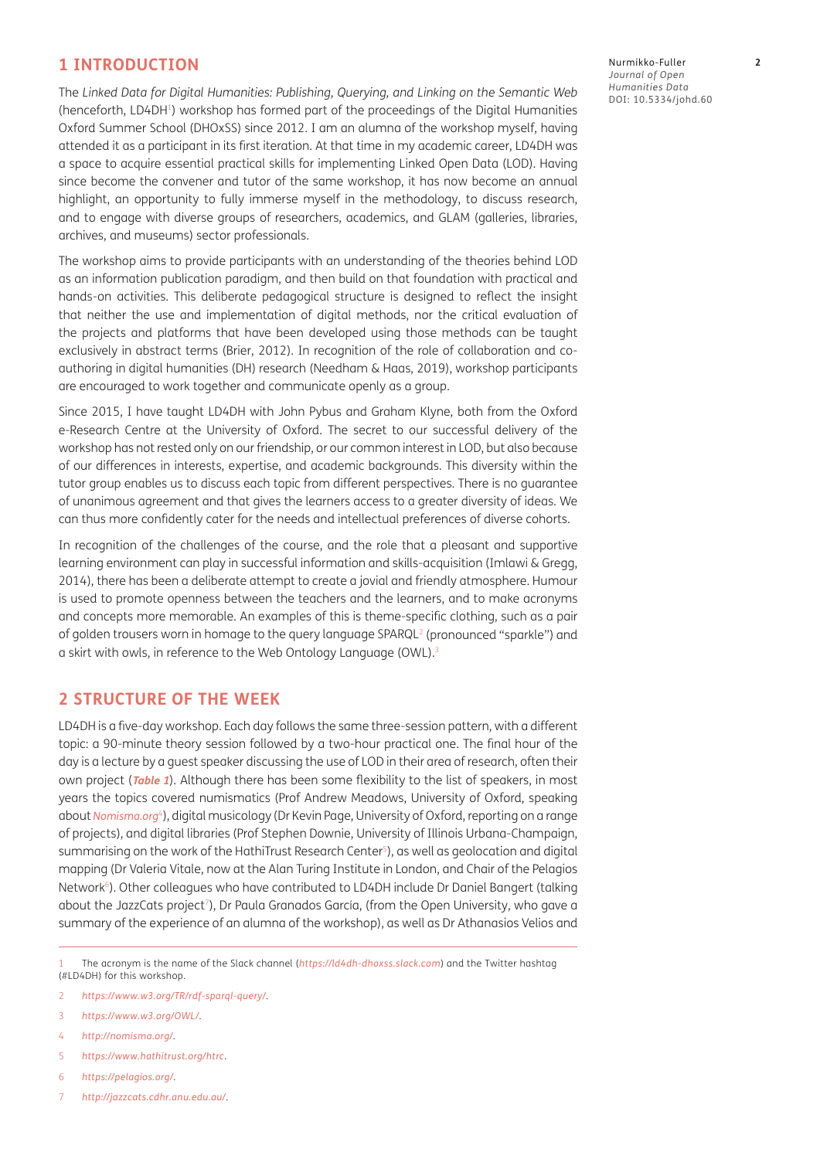#### **1 INTRODUCTION**

The *Linked Data for Digital Humanities: Publishing, Querying, and Linking on the Semantic Web* (henceforth, LD4DH1) workshop has formed part of the proceedings of the Digital Humanities Oxford Summer School (DHOxSS) since 2012. I am an alumna of the workshop myself, having attended it as a participant in its first iteration. At that time in my academic career, LD4DH was a space to acquire essential practical skills for implementing Linked Open Data (LOD). Having since become the convener and tutor of the same workshop, it has now become an annual highlight, an opportunity to fully immerse myself in the methodology, to discuss research, and to engage with diverse groups of researchers, academics, and GLAM (galleries, libraries, archives, and museums) sector professionals.

The workshop aims to provide participants with an understanding of the theories behind LOD as an information publication paradigm, and then build on that foundation with practical and hands-on activities. This deliberate pedagogical structure is designed to reflect the insight that neither the use and implementation of digital methods, nor the critical evaluation of the projects and platforms that have been developed using those methods can be taught exclusively in abstract terms [\(Brier, 2012](#page-10-0)). In recognition of the role of collaboration and coauthoring in digital humanities (DH) research ([Needham & Haas, 2019](#page-10-0)), workshop participants are encouraged to work together and communicate openly as a group.

Since 2015, I have taught LD4DH with John Pybus and Graham Klyne, both from the Oxford e-Research Centre at the University of Oxford. The secret to our successful delivery of the workshop has not rested only on our friendship, or our common interest in LOD, but also because of our differences in interests, expertise, and academic backgrounds. This diversity within the tutor group enables us to discuss each topic from different perspectives. There is no guarantee of unanimous agreement and that gives the learners access to a greater diversity of ideas. We can thus more confidently cater for the needs and intellectual preferences of diverse cohorts.

In recognition of the challenges of the course, and the role that a pleasant and supportive learning environment can play in successful information and skills-acquisition [\(Imlawi & Gregg,](#page-10-0)  [2014](#page-10-0)), there has been a deliberate attempt to create a jovial and friendly atmosphere. Humour is used to promote openness between the teachers and the learners, and to make acronyms and concepts more memorable. An examples of this is theme-specific clothing, such as a pair of golden trousers worn in homage to the query language SPARQL<sup>2</sup> (pronounced "sparkle") and a skirt with owls, in reference to the Web Ontology Language (OWL).3

#### **2 STRUCTURE OF THE WEEK**

LD4DH is a five-day workshop. Each day follows the same three-session pattern, with a different topic: a 90-minute theory session followed by a two-hour practical one. The final hour of the day is a lecture by a quest speaker discussing the use of LOD in their area of research, often their own project (**[Table 1](#page-2-0)**). Although there has been some flexibility to the list of speakers, in most years the topics covered numismatics (Prof Andrew Meadows, University of Oxford, speaking about *[Nomisma.org](http://Nomisma.org)*4), digital musicology (Dr Kevin Page, University of Oxford, reporting on a range of projects), and digital libraries (Prof Stephen Downie, University of Illinois Urbana-Champaign, summarising on the work of the HathiTrust Research Center<sup>5</sup>), as well as geolocation and digital mapping (Dr Valeria Vitale, now at the Alan Turing Institute in London, and Chair of the Pelagios Network6). Other colleagues who have contributed to LD4DH include Dr Daniel Bangert (talking about the JazzCats project<sup>7</sup>), Dr Paula Granados García, (from the Open University, who gave a summary of the experience of an alumna of the workshop), as well as Dr Athanasios Velios and

- 5 *<https://www.hathitrust.org/htrc>*.
- 6 *<https://pelagios.org/>*.
- 7 *<http://jazzcats.cdhr.anu.edu.au/>*.

Nurmikko-Fuller **2** *Journal of Open Humanities Data* DOI: [10.5334/johd.60](https://doi.org/10.5334/johd.60)

<sup>1</sup> The acronym is the name of the Slack channel (*<https://ld4dh-dhoxss.slack.com>*) and the Twitter hashtag (#LD4DH) for this workshop.

<sup>2</sup> *<https://www.w3.org/TR/rdf-sparql-query/>*.

<sup>3</sup> *<https://www.w3.org/OWL/>*.

<sup>4</sup> *<http://nomisma.org/>*.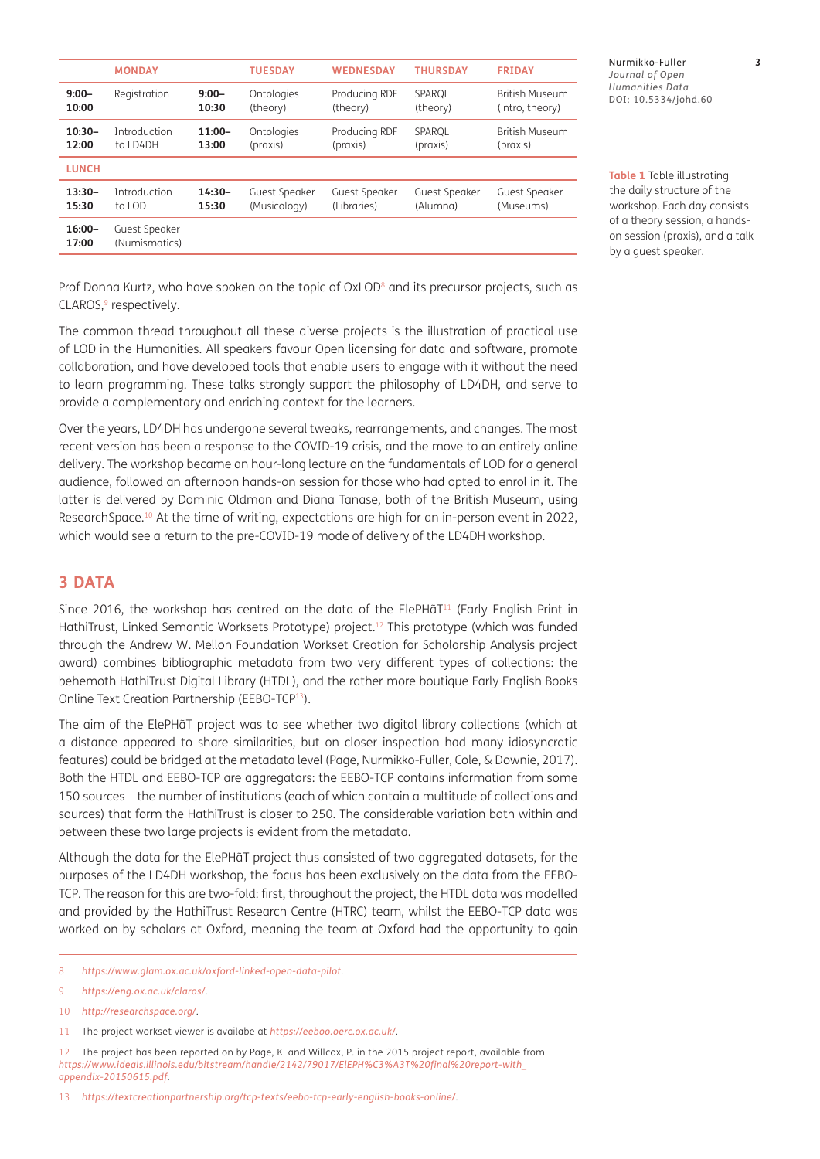|                    | <b>MONDAY</b>                  |          | <b>TUESDAY</b> | <b>WEDNESDAY</b> | <b>THURSDAY</b> | <b>FRIDAY</b>         |
|--------------------|--------------------------------|----------|----------------|------------------|-----------------|-----------------------|
| $9:00 -$           | Registration                   | $9:00 -$ | Ontologies     | Producing RDF    | SPAROL          | <b>British Museum</b> |
| 10:00              |                                | 10:30    | (theory)       | (theory)         | (theory)        | (intro, theory)       |
| $10:30-$           | Introduction                   | $11:00-$ | Ontologies     | Producing RDF    | SPAROL          | <b>British Museum</b> |
| 12:00              | to LD4DH                       | 13:00    | (praxis)       | (praxis)         | (praxis)        | (praxis)              |
| <b>LUNCH</b>       |                                |          |                |                  |                 |                       |
| $13:30-$           | <b>Introduction</b>            | $14:30-$ | Guest Speaker  | Guest Speaker    | Guest Speaker   | <b>Guest Speaker</b>  |
| 15:30              | to LOD                         | 15:30    | (Musicology)   | (Libraries)      | (Alumna)        | (Museums)             |
| $16:00 -$<br>17:00 | Guest Speaker<br>(Numismatics) |          |                |                  |                 |                       |

Nurmikko-Fuller **3** *Journal of Open Humanities Data* DOI: [10.5334/johd.60](https://doi.org/10.5334/johd.60)

<span id="page-2-0"></span>**Table 1** Table illustrating the daily structure of the workshop. Each day consists of a theory session, a handson session (praxis), and a talk by a guest speaker.

Prof Donna Kurtz, who have spoken on the topic of OxLOD<sup>8</sup> and its precursor projects, such as  $CLAROS$ ,  $9$  respectively.

The common thread throughout all these diverse projects is the illustration of practical use of LOD in the Humanities. All speakers favour Open licensing for data and software, promote collaboration, and have developed tools that enable users to engage with it without the need to learn programming. These talks strongly support the philosophy of LD4DH, and serve to provide a complementary and enriching context for the learners.

Over the years, LD4DH has undergone several tweaks, rearrangements, and changes. The most recent version has been a response to the COVID-19 crisis, and the move to an entirely online delivery. The workshop became an hour-long lecture on the fundamentals of LOD for a general audience, followed an afternoon hands-on session for those who had opted to enrol in it. The latter is delivered by Dominic Oldman and Diana Tanase, both of the British Museum, using ResearchSpace.10 At the time of writing, expectations are high for an in-person event in 2022, which would see a return to the pre-COVID-19 mode of delivery of the LD4DH workshop.

## **3 DATA**

Since 2016, the workshop has centred on the data of the ElePHaT<sup>11</sup> (Early English Print in HathiTrust, Linked Semantic Worksets Prototype) project.<sup>12</sup> This prototype (which was funded through the Andrew W. Mellon Foundation Workset Creation for Scholarship Analysis project award) combines bibliographic metadata from two very different types of collections: the behemoth HathiTrust Digital Library (HTDL), and the rather more boutique Early English Books Online Text Creation Partnership (EEBO-TCP13).

The aim of the ElePHãT project was to see whether two digital library collections (which at a distance appeared to share similarities, but on closer inspection had many idiosyncratic features) could be bridged at the metadata level (Page, [Nurmikko-Fuller, Cole, & Downie, 2017](#page-10-0)). Both the HTDL and EEBO-TCP are aggregators: the EEBO-TCP contains information from some 150 sources – the number of institutions (each of which contain a multitude of collections and sources) that form the HathiTrust is closer to 250. The considerable variation both within and between these two large projects is evident from the metadata.

Although the data for the ElePHãT project thus consisted of two aggregated datasets, for the purposes of the LD4DH workshop, the focus has been exclusively on the data from the EEBO-TCP. The reason for this are two-fold: first, throughout the project, the HTDL data was modelled and provided by the HathiTrust Research Centre (HTRC) team, whilst the EEBO-TCP data was worked on by scholars at Oxford, meaning the team at Oxford had the opportunity to gain

12 The project has been reported on by Page, K. and Willcox, P. in the 2015 project report, available from *[https://www.ideals.illinois.edu/bitstream/handle/2142/79017/ElEPH%C3%A3T%20final%20report-with\\_](https://www.ideals.illinois.edu/bitstream/handle/2142/79017/ElEPH%C3%A3T%20final%20report-with_appendix-20150615.pdf) [appendix-20150615.pdf](https://www.ideals.illinois.edu/bitstream/handle/2142/79017/ElEPH%C3%A3T%20final%20report-with_appendix-20150615.pdf)*.

<sup>8</sup> *<https://www.glam.ox.ac.uk/oxford-linked-open-data-pilot>*.

<sup>9</sup> *<https://eng.ox.ac.uk/claros/>*.

<sup>10</sup> *<http://researchspace.org/>*.

<sup>11</sup> The project workset viewer is availabe at *<https://eeboo.oerc.ox.ac.uk/>*.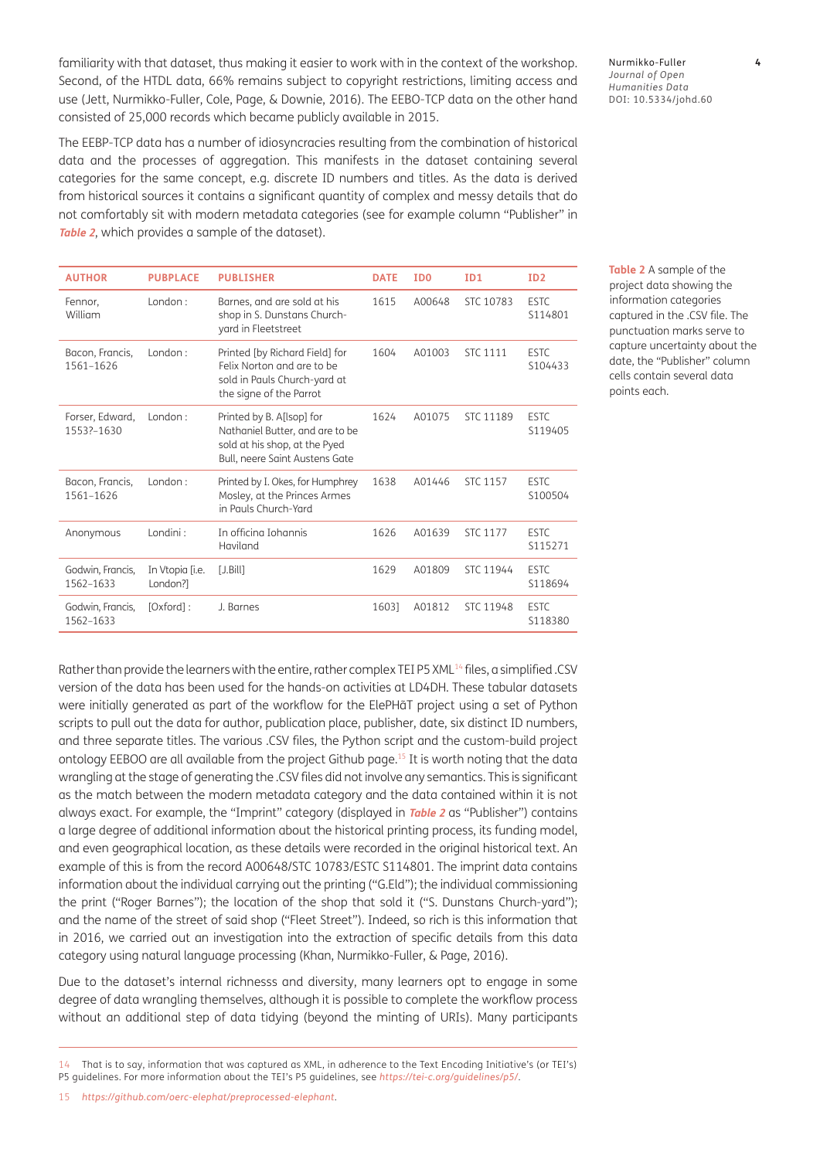familiarity with that dataset, thus making it easier to work with in the context of the workshop. Second, of the HTDL data, 66% remains subject to copyright restrictions, limiting access and use [\(Jett, Nurmikko-Fuller, Cole, Page, & Downie, 2016\)](#page-10-0). The EEBO-TCP data on the other hand consisted of 25,000 records which became publicly available in 2015.

The EEBP-TCP data has a number of idiosyncracies resulting from the combination of historical data and the processes of aggregation. This manifests in the dataset containing several categories for the same concept, e.g. discrete ID numbers and titles. As the data is derived from historical sources it contains a significant quantity of complex and messy details that do not comfortably sit with modern metadata categories (see for example column "Publisher" in **[Table 2](#page-3-0)**, which provides a sample of the dataset).

| <b>AUTHOR</b>                 | <b>PUBPLACE</b>             | <b>PUBLISHER</b>                                                                                                                | <b>DATE</b> | ID <sub>0</sub> | ID1             | ID <sub>2</sub>        |
|-------------------------------|-----------------------------|---------------------------------------------------------------------------------------------------------------------------------|-------------|-----------------|-----------------|------------------------|
| Fennor,<br>William            | London:                     | Barnes, and are sold at his<br>shop in S. Dunstans Church-<br>yard in Fleetstreet                                               | 1615        | A00648          | STC 10783       | <b>ESTC</b><br>S114801 |
| Bacon, Francis,<br>1561-1626  | London:                     | Printed [by Richard Field] for<br>Felix Norton and are to be<br>sold in Pauls Church-yard at<br>the signe of the Parrot         | 1604        | A01003          | <b>STC 1111</b> | <b>ESTC</b><br>S104433 |
| Forser, Edward,<br>1553?-1630 | London:                     | Printed by B. A[lsop] for<br>Nathaniel Butter, and are to be<br>sold at his shop, at the Pyed<br>Bull, neere Saint Austens Gate | 1624        | A01075          | STC 11189       | <b>ESTC</b><br>S119405 |
| Bacon, Francis,<br>1561-1626  | London:                     | Printed by I. Okes, for Humphrey<br>Mosley, at the Princes Armes<br>in Pauls Church-Yard                                        | 1638        | A01446          | <b>STC 1157</b> | <b>ESTC</b><br>S100504 |
| Anonymous                     | Londini:                    | In officing Johannis<br>Haviland                                                                                                | 1626        | A01639          | <b>STC 1177</b> | <b>ESTC</b><br>S115271 |
| Godwin, Francis,<br>1562-1633 | In Vtopia [i.e.<br>London?1 | [J.Bill]                                                                                                                        | 1629        | A01809          | STC 11944       | <b>ESTC</b><br>S118694 |
| Godwin, Francis,<br>1562-1633 | [Oxford]:                   | J. Barnes                                                                                                                       | 16031       | A01812          | STC 11948       | <b>ESTC</b><br>S118380 |

Rather than provide the learners with the entire, rather complex TEI P5 XML<sup>14</sup> files, a simplified .CSV version of the data has been used for the hands-on activities at LD4DH. These tabular datasets were initially generated as part of the workflow for the ElePHãT project using a set of Python scripts to pull out the data for author, publication place, publisher, date, six distinct ID numbers, and three separate titles. The various .CSV files, the Python script and the custom-build project ontology EEBOO are all available from the project Github page.15 It is worth noting that the data wrangling at the stage of generating the .CSV files did not involve any semantics. This is significant as the match between the modern metadata category and the data contained within it is not always exact. For example, the "Imprint" category (displayed in **[Table 2](#page-3-0)** as "Publisher") contains a large degree of additional information about the historical printing process, its funding model, and even geographical location, as these details were recorded in the original historical text. An example of this is from the record A00648/STC 10783/ESTC S114801. The imprint data contains information about the individual carrying out the printing ("G.Eld"); the individual commissioning the print ("Roger Barnes"); the location of the shop that sold it ("S. Dunstans Church-yard"); and the name of the street of said shop ("Fleet Street"). Indeed, so rich is this information that in 2016, we carried out an investigation into the extraction of specific details from this data category using natural language processing [\(Khan, Nurmikko-Fuller, & Page, 2016\)](#page-10-0).

Due to the dataset's internal richnesss and diversity, many learners opt to engage in some degree of data wrangling themselves, although it is possible to complete the workflow process without an additional step of data tidying (beyond the minting of URIs). Many participants

Nurmikko-Fuller **4** *Journal of Open Humanities Data* DOI: [10.5334/johd.60](https://doi.org/10.5334/johd.60)

<span id="page-3-0"></span>**Table 2** A sample of the project data showing the information categories captured in the .CSV file. The punctuation marks serve to capture uncertainty about the date, the "Publisher" column cells contain several data points each.

<sup>14</sup> That is to say, information that was captured as XML, in adherence to the Text Encoding Initiative's (or TEI's) P5 guidelines. For more information about the TEI's P5 guidelines, see *<https://tei-c.org/guidelines/p5/>*.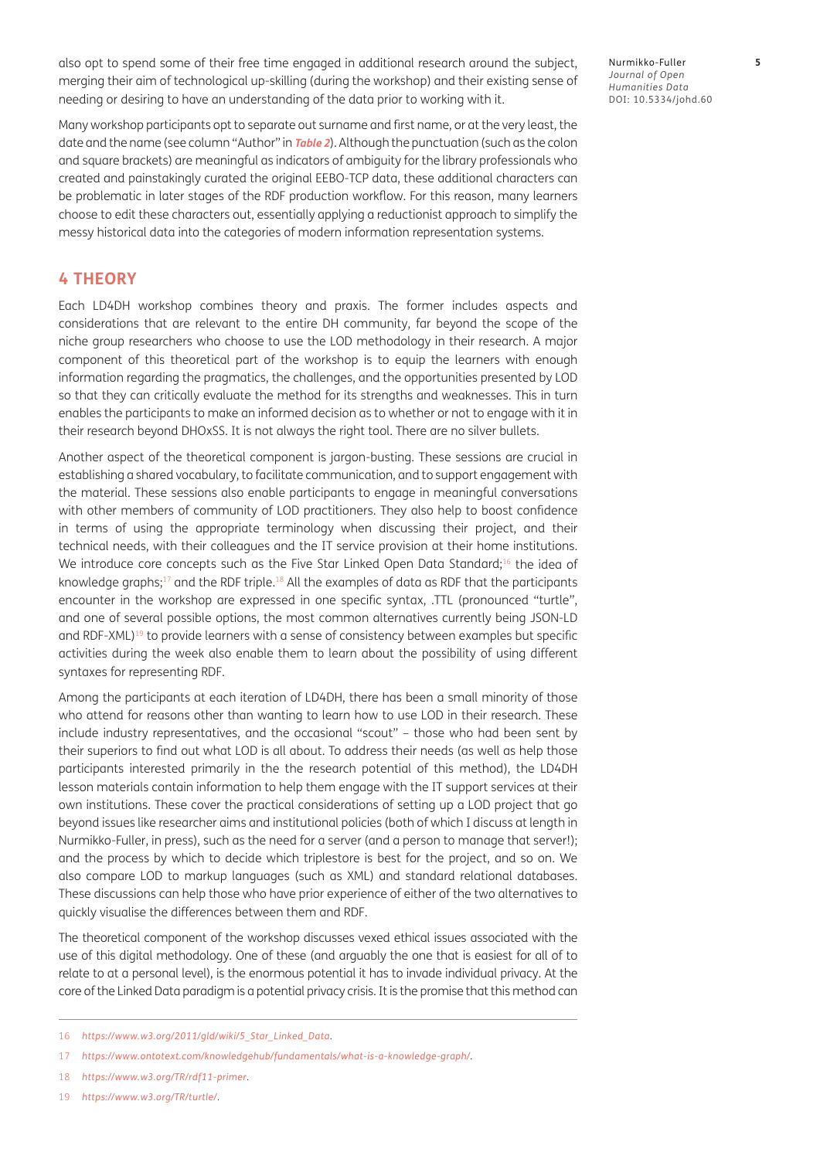also opt to spend some of their free time engaged in additional research around the subject, merging their aim of technological up-skilling (during the workshop) and their existing sense of needing or desiring to have an understanding of the data prior to working with it.

Nurmikko-Fuller **5** *Journal of Open Humanities Data* DOI: [10.5334/johd.60](https://doi.org/10.5334/johd.60)

Many workshop participants opt to separate out surname and first name, or at the very least, the date and the name (see column "Author" in **[Table 2](#page-3-0)**). Although the punctuation (such as the colon and square brackets) are meaningful as indicators of ambiguity for the library professionals who created and painstakingly curated the original EEBO-TCP data, these additional characters can be problematic in later stages of the RDF production workflow. For this reason, many learners choose to edit these characters out, essentially applying a reductionist approach to simplify the messy historical data into the categories of modern information representation systems.

## **4 THEORY**

Each LD4DH workshop combines theory and praxis. The former includes aspects and considerations that are relevant to the entire DH community, far beyond the scope of the niche group researchers who choose to use the LOD methodology in their research. A major component of this theoretical part of the workshop is to equip the learners with enough information regarding the pragmatics, the challenges, and the opportunities presented by LOD so that they can critically evaluate the method for its strengths and weaknesses. This in turn enables the participants to make an informed decision as to whether or not to engage with it in their research beyond DHOxSS. It is not always the right tool. There are no silver bullets.

Another aspect of the theoretical component is jargon-busting. These sessions are crucial in establishing a shared vocabulary, to facilitate communication, and to support engagement with the material. These sessions also enable participants to engage in meaningful conversations with other members of community of LOD practitioners. They also help to boost confidence in terms of using the appropriate terminology when discussing their project, and their technical needs, with their colleagues and the IT service provision at their home institutions. We introduce core concepts such as the Five Star Linked Open Data Standard;<sup>16</sup> the idea of knowledge graphs;17 and the RDF triple.18 All the examples of data as RDF that the participants encounter in the workshop are expressed in one specific syntax, .TTL (pronounced "turtle", and one of several possible options, the most common alternatives currently being JSON-LD and RDF-XML)<sup>19</sup> to provide learners with a sense of consistency between examples but specific activities during the week also enable them to learn about the possibility of using different syntaxes for representing RDF.

Among the participants at each iteration of LD4DH, there has been a small minority of those who attend for reasons other than wanting to learn how to use LOD in their research. These include industry representatives, and the occasional "scout" – those who had been sent by their superiors to find out what LOD is all about. To address their needs (as well as help those participants interested primarily in the the research potential of this method), the LD4DH lesson materials contain information to help them engage with the IT support services at their own institutions. These cover the practical considerations of setting up a LOD project that go beyond issues like researcher aims and institutional policies (both of which I discuss at length in [Nurmikko-Fuller, in press](#page-10-0)), such as the need for a server (and a person to manage that server!); and the process by which to decide which triplestore is best for the project, and so on. We also compare LOD to markup languages (such as XML) and standard relational databases. These discussions can help those who have prior experience of either of the two alternatives to quickly visualise the differences between them and RDF.

The theoretical component of the workshop discusses vexed ethical issues associated with the use of this digital methodology. One of these (and arguably the one that is easiest for all of to relate to at a personal level), is the enormous potential it has to invade individual privacy. At the core of the Linked Data paradigm is a potential privacy crisis. It is the promise that this method can

<sup>16</sup> *[https://www.w3.org/2011/gld/wiki/5\\_Star\\_Linked\\_Data](https://www.w3.org/2011/gld/wiki/5_Star_Linked_Data)*.

<sup>17</sup> *<https://www.ontotext.com/knowledgehub/fundamentals/what-is-a-knowledge-graph/>*.

<sup>18</sup> *<https://www.w3.org/TR/rdf11-primer>*.

<sup>19</sup> *<https://www.w3.org/TR/turtle/>*.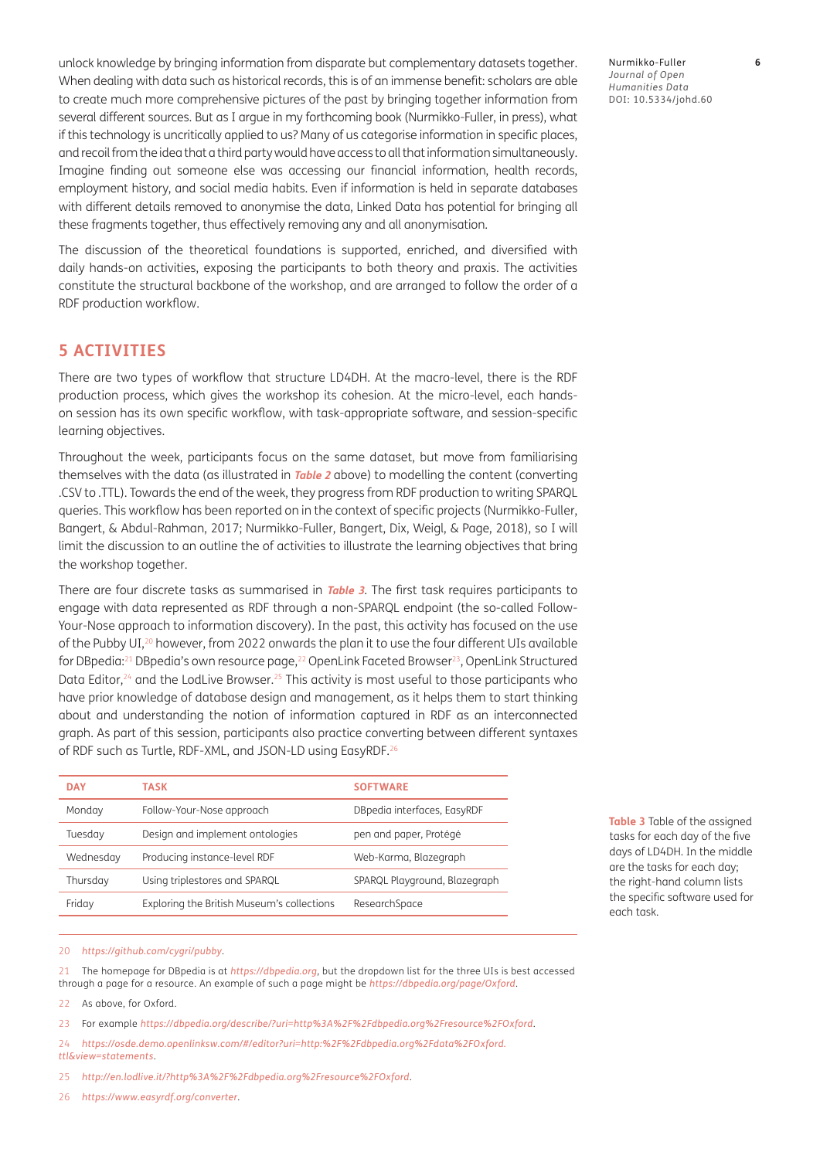unlock knowledge by bringing information from disparate but complementary datasets together. When dealing with data such as historical records, this is of an immense benefit: scholars are able to create much more comprehensive pictures of the past by bringing together information from several different sources. But as I argue in my forthcoming book ([Nurmikko-Fuller, in press](#page-10-0)), what if this technology is uncritically applied to us? Many of us categorise information in specific places, and recoil from the idea that a third party would have access to all that information simultaneously. Imagine finding out someone else was accessing our financial information, health records, employment history, and social media habits. Even if information is held in separate databases with different details removed to anonymise the data, Linked Data has potential for bringing all these fragments together, thus effectively removing any and all anonymisation.

The discussion of the theoretical foundations is supported, enriched, and diversified with daily hands-on activities, exposing the participants to both theory and praxis. The activities constitute the structural backbone of the workshop, and are arranged to follow the order of a RDF production workflow.

### **5 ACTIVITIES**

There are two types of workflow that structure LD4DH. At the macro-level, there is the RDF production process, which gives the workshop its cohesion. At the micro-level, each handson session has its own specific workflow, with task-appropriate software, and session-specific learning objectives.

Throughout the week, participants focus on the same dataset, but move from familiarising themselves with the data (as illustrated in **[Table 2](#page-3-0)** above) to modelling the content (converting .CSV to .TTL). Towards the end of the week, they progress from RDF production to writing SPARQL queries. This workflow has been reported on in the context of specific projects [\(Nurmikko-Fuller,](#page-10-0)  [Bangert, & Abdul-Rahman, 2017; Nurmikko-Fuller, Bangert, Dix, Weigl, & Page, 2018\)](#page-10-0), so I will limit the discussion to an outline the of activities to illustrate the learning objectives that bring the workshop together.

There are four discrete tasks as summarised in **[Table 3](#page-5-0)**. The first task requires participants to engage with data represented as RDF through a non-SPARQL endpoint (the so-called Follow-Your-Nose approach to information discovery). In the past, this activity has focused on the use of the Pubby UI,<sup>20</sup> however, from 2022 onwards the plan it to use the four different UIs available for DBpedia:<sup>21</sup> DBpedia's own resource page,<sup>22</sup> OpenLink Faceted Browser<sup>23</sup>, OpenLink Structured Data Editor, $24$  and the LodLive Browser. $25$  This activity is most useful to those participants who have prior knowledge of database design and management, as it helps them to start thinking about and understanding the notion of information captured in RDF as an interconnected graph. As part of this session, participants also practice converting between different syntaxes of RDF such as Turtle, RDF-XML, and JSON-LD using EasyRDF.26

| <b>DAY</b> | <b>TASK</b>                                | <b>SOFTWARE</b>               |
|------------|--------------------------------------------|-------------------------------|
| Monday     | Follow-Your-Nose approach                  | DBpedia interfaces, EasyRDF   |
| Tuesday    | Design and implement ontologies            | pen and paper, Protégé        |
| Wednesday  | Producing instance-level RDF               | Web-Karma, Blazegraph         |
| Thursday   | Using triplestores and SPARQL              | SPARQL Playground, Blazegraph |
| Friday     | Exploring the British Museum's collections | ResearchSpace                 |

<span id="page-5-0"></span>**Table 3** Table of the assigned tasks for each day of the five days of LD4DH. In the middle are the tasks for each day; the right-hand column lists the specific software used for each task.

#### 20 *<https://github.com/cygri/pubby>*.

21 The homepage for DBpedia is at *<https://dbpedia.org>*, but the dropdown list for the three UIs is best accessed through a page for a resource. An example of such a page might be *<https://dbpedia.org/page/Oxford>*.

22 As above, for Oxford.

- 23 For example *<https://dbpedia.org/describe/?uri=http%3A%2F%2Fdbpedia.org%2Fresource%2FOxford>*.
- 24 *[https://osde.demo.openlinksw.com/#/editor?uri=http:%2F%2Fdbpedia.org%2Fdata%2FOxford.](https://osde.demo.openlinksw.com/#/editor?uri=http:%2F%2Fdbpedia.org%2Fdata%2FOxford.ttl&view=statements) [ttl&view=statements](https://osde.demo.openlinksw.com/#/editor?uri=http:%2F%2Fdbpedia.org%2Fdata%2FOxford.ttl&view=statements)*.
- 25 *<http://en.lodlive.it/?http%3A%2F%2Fdbpedia.org%2Fresource%2FOxford>*.
- 26 *<https://www.easyrdf.org/converter>*.

Nurmikko-Fuller **6** *Journal of Open Humanities Data* DOI: [10.5334/johd.60](https://doi.org/10.5334/johd.60)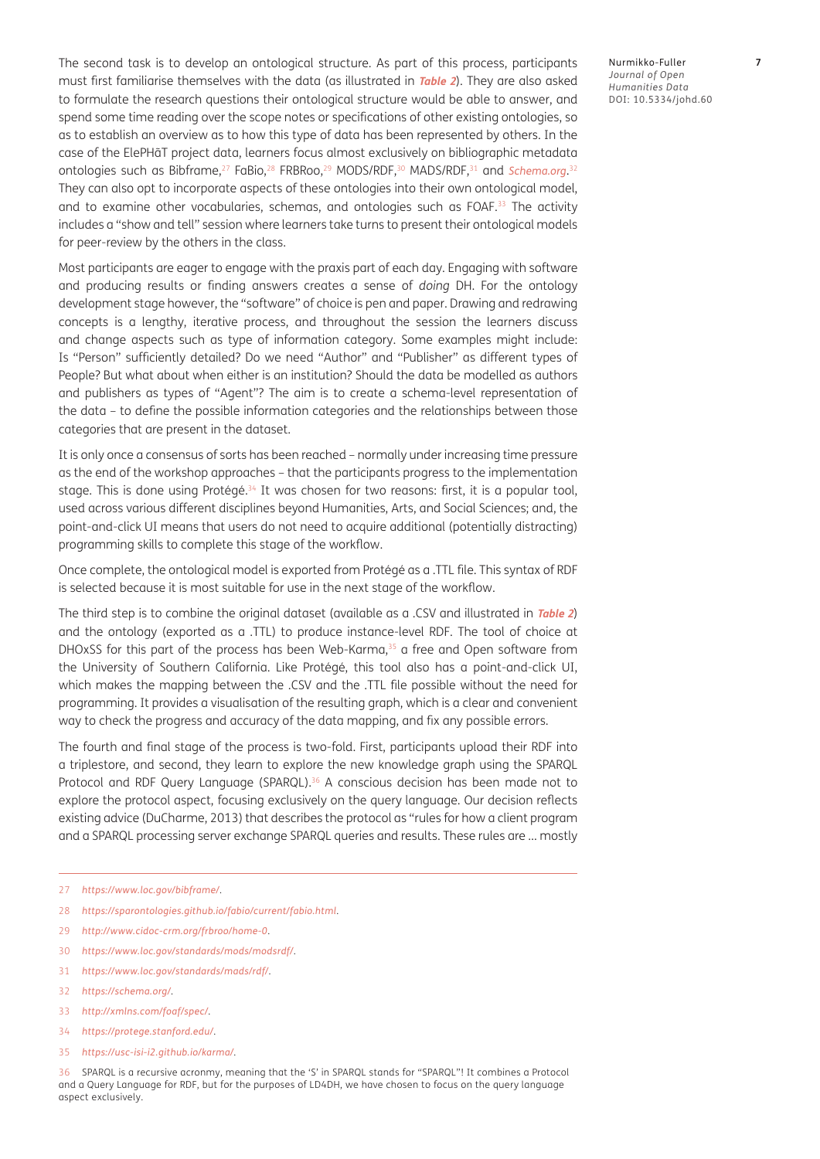The second task is to develop an ontological structure. As part of this process, participants must first familiarise themselves with the data (as illustrated in **[Table 2](#page-3-0)**). They are also asked to formulate the research questions their ontological structure would be able to answer, and spend some time reading over the scope notes or specifications of other existing ontologies, so as to establish an overview as to how this type of data has been represented by others. In the case of the ElePHãT project data, learners focus almost exclusively on bibliographic metadata ontologies such as Bibframe,<sup>27</sup> FaBio,<sup>28</sup> FRBRoo,<sup>29</sup> MODS/RDF,<sup>30</sup> MADS/RDF,<sup>31</sup> and *[Schema.org](http://Schema.org)*.<sup>32</sup> They can also opt to incorporate aspects of these ontologies into their own ontological model, and to examine other vocabularies, schemas, and ontologies such as FOAF.33 The activity includes a "show and tell" session where learners take turns to present their ontological models for peer-review by the others in the class.

Most participants are eager to engage with the praxis part of each day. Engaging with software and producing results or finding answers creates a sense of *doing* DH. For the ontology development stage however, the "software" of choice is pen and paper. Drawing and redrawing concepts is a lengthy, iterative process, and throughout the session the learners discuss and change aspects such as type of information category. Some examples might include: Is "Person" sufficiently detailed? Do we need "Author" and "Publisher" as different types of People? But what about when either is an institution? Should the data be modelled as authors and publishers as types of "Agent"? The aim is to create a schema-level representation of the data – to define the possible information categories and the relationships between those categories that are present in the dataset.

It is only once a consensus of sorts has been reached – normally under increasing time pressure as the end of the workshop approaches – that the participants progress to the implementation stage. This is done using Protégé.<sup>34</sup> It was chosen for two reasons: first, it is a popular tool, used across various different disciplines beyond Humanities, Arts, and Social Sciences; and, the point-and-click UI means that users do not need to acquire additional (potentially distracting) programming skills to complete this stage of the workflow.

Once complete, the ontological model is exported from Protégé as a .TTL file. This syntax of RDF is selected because it is most suitable for use in the next stage of the workflow.

The third step is to combine the original dataset (available as a .CSV and illustrated in **[Table](#page-3-0) <sup>2</sup>**) and the ontology (exported as a .TTL) to produce instance-level RDF. The tool of choice at DHOxSS for this part of the process has been Web-Karma, $35$  a free and Open software from the University of Southern California. Like Protégé, this tool also has a point-and-click UI, which makes the mapping between the .CSV and the .TTL file possible without the need for programming. It provides a visualisation of the resulting graph, which is a clear and convenient way to check the progress and accuracy of the data mapping, and fix any possible errors.

The fourth and final stage of the process is two-fold. First, participants upload their RDF into a triplestore, and second, they learn to explore the new knowledge graph using the SPARQL Protocol and RDF Query Language (SPARQL).<sup>36</sup> A conscious decision has been made not to explore the protocol aspect, focusing exclusively on the query language. Our decision reflects existing advice ([DuCharme, 2013](#page-10-0)) that describes the protocol as "rules for how a client program and a SPARQL processing server exchange SPARQL queries and results. These rules are … mostly

- 28 *<https://sparontologies.github.io/fabio/current/fabio.html>*.
- 29 *<http://www.cidoc-crm.org/frbroo/home-0>*.
- 30 *<https://www.loc.gov/standards/mods/modsrdf/>*.
- 31 *<https://www.loc.gov/standards/mads/rdf/>*.
- 32 *<https://schema.org/>*.
- 33 *<http://xmlns.com/foaf/spec/>*.
- 34 *<https://protege.stanford.edu/>*.
- 35 *<https://usc-isi-i2.github.io/karma/>*.

36 SPARQL is a recursive acronmy, meaning that the 'S' in SPARQL stands for "SPARQL"! It combines a Protocol and a Query Language for RDF, but for the purposes of LD4DH, we have chosen to focus on the query language aspect exclusively.

Nurmikko-Fuller **7** *Journal of Open Humanities Data* DOI: [10.5334/johd.60](https://doi.org/10.5334/johd.60)

<sup>27</sup> *<https://www.loc.gov/bibframe/>*.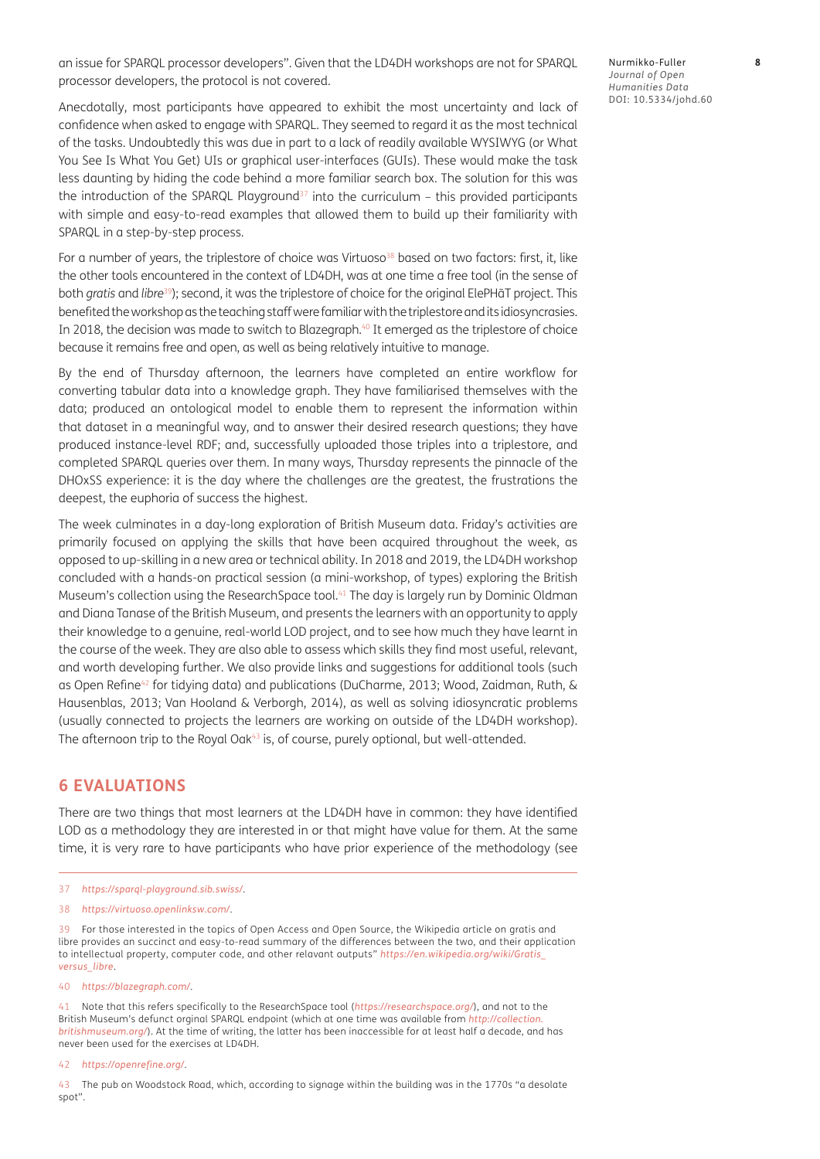an issue for SPARQL processor developers". Given that the LD4DH workshops are not for SPARQL processor developers, the protocol is not covered.

Anecdotally, most participants have appeared to exhibit the most uncertainty and lack of confidence when asked to engage with SPARQL. They seemed to regard it as the most technical of the tasks. Undoubtedly this was due in part to a lack of readily available WYSIWYG (or What You See Is What You Get) UIs or graphical user-interfaces (GUIs). These would make the task less daunting by hiding the code behind a more familiar search box. The solution for this was the introduction of the SPARQL Playground<sup>37</sup> into the curriculum – this provided participants with simple and easy-to-read examples that allowed them to build up their familiarity with SPARQL in a step-by-step process.

For a number of years, the triplestore of choice was Virtuoso<sup>38</sup> based on two factors: first, it, like the other tools encountered in the context of LD4DH, was at one time a free tool (in the sense of both *gratis* and *libre*39); second, it was the triplestore of choice for the original ElePHãT project. This benefited the workshop as the teaching staff were familiar with the triplestore and its idiosyncrasies. In 2018, the decision was made to switch to Blazegraph.<sup>40</sup> It emerged as the triplestore of choice because it remains free and open, as well as being relatively intuitive to manage.

By the end of Thursday afternoon, the learners have completed an entire workflow for converting tabular data into a knowledge graph. They have familiarised themselves with the data; produced an ontological model to enable them to represent the information within that dataset in a meaningful way, and to answer their desired research questions; they have produced instance-level RDF; and, successfully uploaded those triples into a triplestore, and completed SPARQL queries over them. In many ways, Thursday represents the pinnacle of the DHOxSS experience: it is the day where the challenges are the greatest, the frustrations the deepest, the euphoria of success the highest.

The week culminates in a day-long exploration of British Museum data. Friday's activities are primarily focused on applying the skills that have been acquired throughout the week, as opposed to up-skilling in a new area or technical ability. In 2018 and 2019, the LD4DH workshop concluded with a hands-on practical session (a mini-workshop, of types) exploring the British Museum's collection using the ResearchSpace tool.<sup>41</sup> The day is largely run by Dominic Oldman and Diana Tanase of the British Museum, and presents the learners with an opportunity to apply their knowledge to a genuine, real-world LOD project, and to see how much they have learnt in the course of the week. They are also able to assess which skills they find most useful, relevant, and worth developing further. We also provide links and suggestions for additional tools (such as Open Refine<sup>42</sup> for tidying data) and publications ([DuCharme, 2013](#page-10-0); Wood, Zaidman, Ruth, & [Hausenblas, 2013;](#page-10-0) [Van Hooland & Verborgh, 2014](#page-10-0)), as well as solving idiosyncratic problems (usually connected to projects the learners are working on outside of the LD4DH workshop). The afternoon trip to the Royal Oak<sup>43</sup> is, of course, purely optional, but well-attended.

#### **6 EVALUATIONS**

There are two things that most learners at the LD4DH have in common: they have identified LOD as a methodology they are interested in or that might have value for them. At the same time, it is very rare to have participants who have prior experience of the methodology (see

- 37 *<https://sparql-playground.sib.swiss/>*.
- 38 *<https://virtuoso.openlinksw.com/>*.

39 For those interested in the topics of Open Access and Open Source, the Wikipedia article on gratis and libre provides an succinct and easy-to-read summary of the differences between the two, and their application to intellectual property, computer code, and other relavant outputs" *[https://en.wikipedia.org/wiki/Gratis\\_](https://en.wikipedia.org/wiki/Gratis_versus_libre) [versus\\_libre](https://en.wikipedia.org/wiki/Gratis_versus_libre)*.

40 *<https://blazegraph.com/>*.

41 Note that this refers specifically to the ResearchSpace tool (*<https://researchspace.org/>*), and not to the British Museum's defunct orginal SPARQL endpoint (which at one time was available from *[http://collection.](http://collection.britishmuseum.org/) [britishmuseum.org/](http://collection.britishmuseum.org/)*). At the time of writing, the latter has been inaccessible for at least half a decade, and has never been used for the exercises at LD4DH.

42 *<https://openrefine.org/>*.

43 The pub on Woodstock Road, which, according to signage within the building was in the 1770s "a desolate spot".

Nurmikko-Fuller **8** *Journal of Open Humanities Data* DOI: [10.5334/johd.60](https://doi.org/10.5334/johd.60)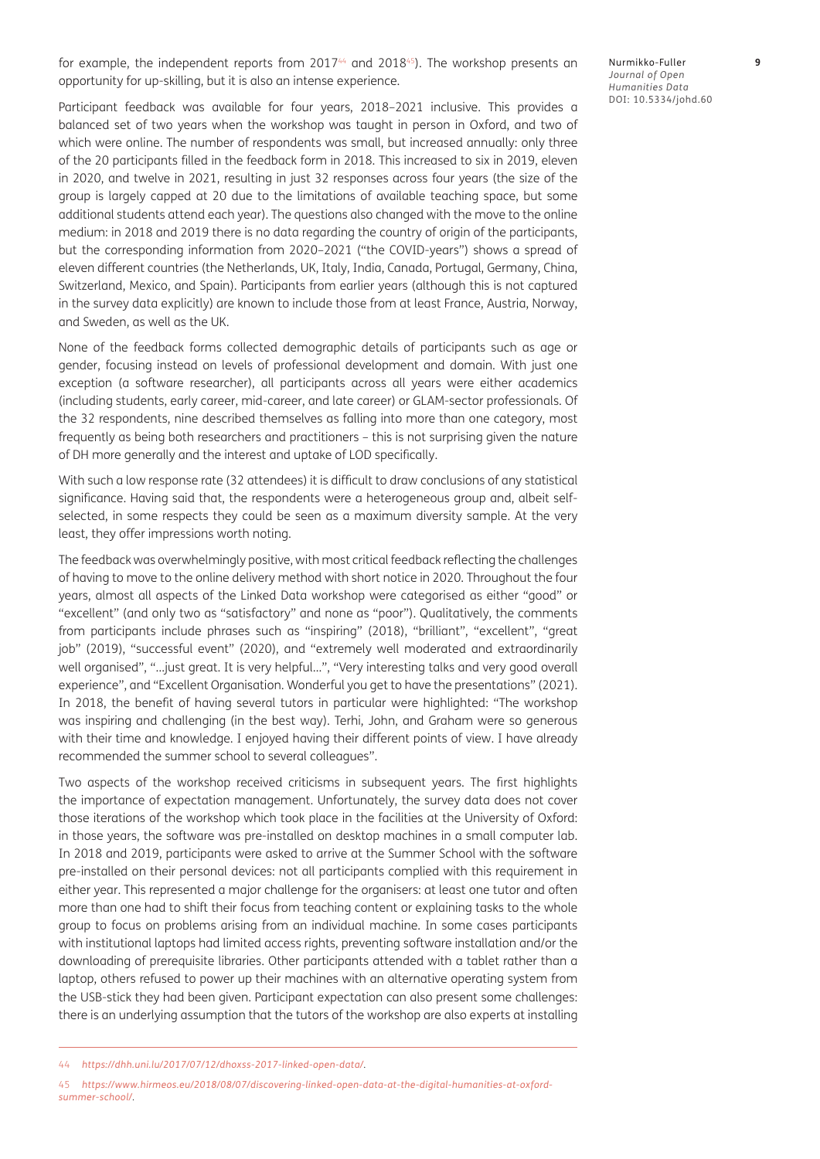for example, the independent reports from 2017<sup>44</sup> and 2018<sup>45</sup>). The workshop presents an opportunity for up-skilling, but it is also an intense experience.

Nurmikko-Fuller **9** *Journal of Open Humanities Data* DOI: [10.5334/johd.60](https://doi.org/10.5334/johd.60)

Participant feedback was available for four years, 2018–2021 inclusive. This provides a balanced set of two years when the workshop was taught in person in Oxford, and two of which were online. The number of respondents was small, but increased annually: only three of the 20 participants filled in the feedback form in 2018. This increased to six in 2019, eleven in 2020, and twelve in 2021, resulting in just 32 responses across four years (the size of the group is largely capped at 20 due to the limitations of available teaching space, but some additional students attend each year). The questions also changed with the move to the online medium: in 2018 and 2019 there is no data regarding the country of origin of the participants, but the corresponding information from 2020–2021 ("the COVID-years") shows a spread of eleven different countries (the Netherlands, UK, Italy, India, Canada, Portugal, Germany, China, Switzerland, Mexico, and Spain). Participants from earlier years (although this is not captured in the survey data explicitly) are known to include those from at least France, Austria, Norway, and Sweden, as well as the UK.

None of the feedback forms collected demographic details of participants such as age or gender, focusing instead on levels of professional development and domain. With just one exception (a software researcher), all participants across all years were either academics (including students, early career, mid-career, and late career) or GLAM-sector professionals. Of the 32 respondents, nine described themselves as falling into more than one category, most frequently as being both researchers and practitioners – this is not surprising given the nature of DH more generally and the interest and uptake of LOD specifically.

With such a low response rate (32 attendees) it is difficult to draw conclusions of any statistical significance. Having said that, the respondents were a heterogeneous group and, albeit selfselected, in some respects they could be seen as a maximum diversity sample. At the very least, they offer impressions worth noting.

The feedback was overwhelmingly positive, with most critical feedback reflecting the challenges of having to move to the online delivery method with short notice in 2020. Throughout the four years, almost all aspects of the Linked Data workshop were categorised as either "good" or "excellent" (and only two as "satisfactory" and none as "poor"). Qualitatively, the comments from participants include phrases such as "inspiring" (2018), "brilliant", "excellent", "great job" (2019), "successful event" (2020), and "extremely well moderated and extraordinarily well organised", "…just great. It is very helpful…", "Very interesting talks and very good overall experience", and "Excellent Organisation. Wonderful you get to have the presentations" (2021). In 2018, the benefit of having several tutors in particular were highlighted: "The workshop was inspiring and challenging (in the best way). Terhi, John, and Graham were so generous with their time and knowledge. I enjoyed having their different points of view. I have already recommended the summer school to several colleagues".

Two aspects of the workshop received criticisms in subsequent years. The first highlights the importance of expectation management. Unfortunately, the survey data does not cover those iterations of the workshop which took place in the facilities at the University of Oxford: in those years, the software was pre-installed on desktop machines in a small computer lab. In 2018 and 2019, participants were asked to arrive at the Summer School with the software pre-installed on their personal devices: not all participants complied with this requirement in either year. This represented a major challenge for the organisers: at least one tutor and often more than one had to shift their focus from teaching content or explaining tasks to the whole group to focus on problems arising from an individual machine. In some cases participants with institutional laptops had limited access rights, preventing software installation and/or the downloading of prerequisite libraries. Other participants attended with a tablet rather than a laptop, others refused to power up their machines with an alternative operating system from the USB-stick they had been given. Participant expectation can also present some challenges: there is an underlying assumption that the tutors of the workshop are also experts at installing

45 *[https://www.hirmeos.eu/2018/08/07/discovering-linked-open-data-at-the-digital-humanities-at-oxford](https://www.hirmeos.eu/2018/08/07/discovering-linked-open-data-at-the-digital-humanities-at-oxford-summer-school/)[summer-school/](https://www.hirmeos.eu/2018/08/07/discovering-linked-open-data-at-the-digital-humanities-at-oxford-summer-school/)*.

<sup>44</sup> *<https://dhh.uni.lu/2017/07/12/dhoxss-2017-linked-open-data/>*.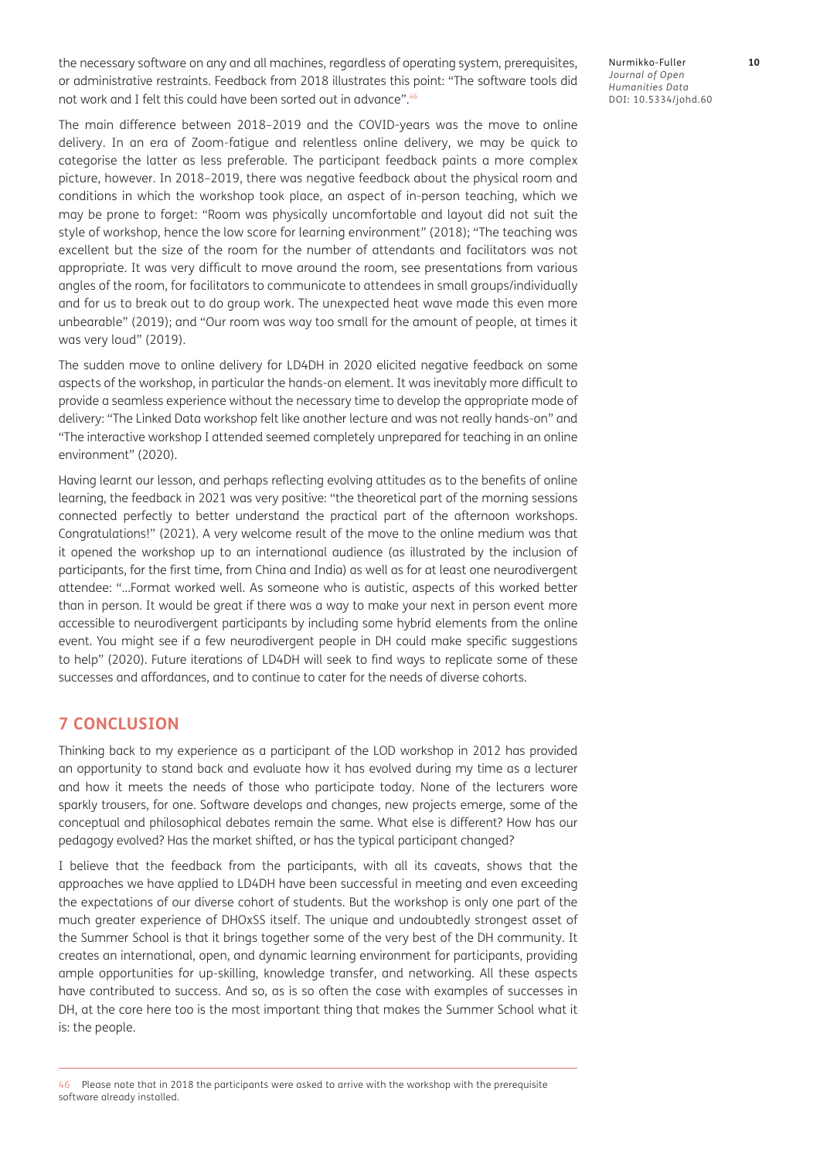the necessary software on any and all machines, regardless of operating system, prerequisites, or administrative restraints. Feedback from 2018 illustrates this point: "The software tools did not work and I felt this could have been sorted out in advance".46

The main difference between 2018–2019 and the COVID-years was the move to online delivery. In an era of Zoom-fatigue and relentless online delivery, we may be quick to categorise the latter as less preferable. The participant feedback paints a more complex picture, however. In 2018–2019, there was negative feedback about the physical room and conditions in which the workshop took place, an aspect of in-person teaching, which we may be prone to forget: "Room was physically uncomfortable and layout did not suit the style of workshop, hence the low score for learning environment" (2018); "The teaching was excellent but the size of the room for the number of attendants and facilitators was not appropriate. It was very difficult to move around the room, see presentations from various angles of the room, for facilitators to communicate to attendees in small groups/individually and for us to break out to do group work. The unexpected heat wave made this even more unbearable" (2019); and "Our room was way too small for the amount of people, at times it was very loud" (2019).

The sudden move to online delivery for LD4DH in 2020 elicited negative feedback on some aspects of the workshop, in particular the hands-on element. It was inevitably more difficult to provide a seamless experience without the necessary time to develop the appropriate mode of delivery: "The Linked Data workshop felt like another lecture and was not really hands-on" and "The interactive workshop I attended seemed completely unprepared for teaching in an online environment" (2020).

Having learnt our lesson, and perhaps reflecting evolving attitudes as to the benefits of online learning, the feedback in 2021 was very positive: "the theoretical part of the morning sessions connected perfectly to better understand the practical part of the afternoon workshops. Congratulations!" (2021). A very welcome result of the move to the online medium was that it opened the workshop up to an international audience (as illustrated by the inclusion of participants, for the first time, from China and India) as well as for at least one neurodivergent attendee: "…Format worked well. As someone who is autistic, aspects of this worked better than in person. It would be great if there was a way to make your next in person event more accessible to neurodivergent participants by including some hybrid elements from the online event. You might see if a few neurodivergent people in DH could make specific suggestions to help" (2020). Future iterations of LD4DH will seek to find ways to replicate some of these successes and affordances, and to continue to cater for the needs of diverse cohorts.

## **7 CONCLUSION**

Thinking back to my experience as a participant of the LOD workshop in 2012 has provided an opportunity to stand back and evaluate how it has evolved during my time as a lecturer and how it meets the needs of those who participate today. None of the lecturers wore sparkly trousers, for one. Software develops and changes, new projects emerge, some of the conceptual and philosophical debates remain the same. What else is different? How has our pedagogy evolved? Has the market shifted, or has the typical participant changed?

I believe that the feedback from the participants, with all its caveats, shows that the approaches we have applied to LD4DH have been successful in meeting and even exceeding the expectations of our diverse cohort of students. But the workshop is only one part of the much greater experience of DHOxSS itself. The unique and undoubtedly strongest asset of the Summer School is that it brings together some of the very best of the DH community. It creates an international, open, and dynamic learning environment for participants, providing ample opportunities for up-skilling, knowledge transfer, and networking. All these aspects have contributed to success. And so, as is so often the case with examples of successes in DH, at the core here too is the most important thing that makes the Summer School what it is: the people.

Nurmikko-Fuller **10** *Journal of Open Humanities Data* DOI: [10.5334/johd.60](https://doi.org/10.5334/johd.60)